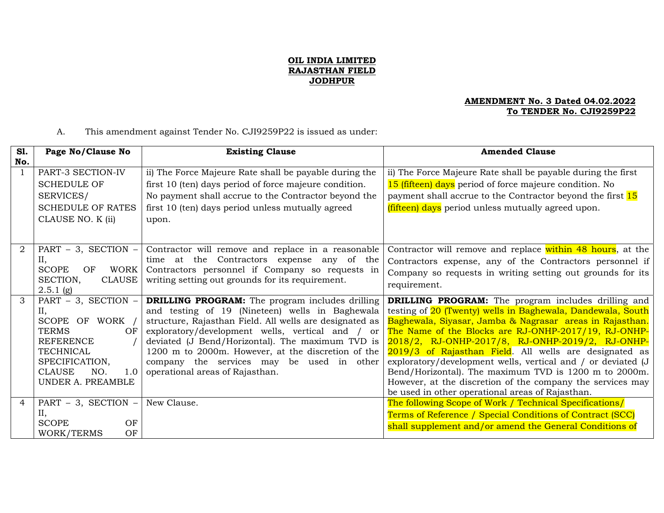## **OIL INDIA LIMITED RAJASTHAN FIELD JODHPUR**

## **AMENDMENT No. 3 Dated 04.02.2022 To TENDER No. CJI9259P22**

A. This amendment against Tender No. CJI9259P22 is issued as under:

| SI.           | Page No/Clause No                     | <b>Existing Clause</b>                                                                                             | <b>Amended Clause</b>                                                                                            |
|---------------|---------------------------------------|--------------------------------------------------------------------------------------------------------------------|------------------------------------------------------------------------------------------------------------------|
| No.           |                                       |                                                                                                                    |                                                                                                                  |
|               | PART-3 SECTION-IV                     | ii) The Force Majeure Rate shall be payable during the                                                             | ii) The Force Majeure Rate shall be payable during the first                                                     |
|               | <b>SCHEDULE OF</b>                    | first 10 (ten) days period of force majeure condition.                                                             | 15 (fifteen) days period of force majeure condition. No                                                          |
|               | SERVICES/                             | No payment shall accrue to the Contractor beyond the                                                               | payment shall accrue to the Contractor beyond the first 15                                                       |
|               | <b>SCHEDULE OF RATES</b>              | first 10 (ten) days period unless mutually agreed                                                                  | (fifteen) days period unless mutually agreed upon.                                                               |
|               | CLAUSE NO. K (ii)                     | upon.                                                                                                              |                                                                                                                  |
|               |                                       |                                                                                                                    |                                                                                                                  |
|               |                                       |                                                                                                                    |                                                                                                                  |
| 2             | PART - 3, SECTION -                   | Contractor will remove and replace in a reasonable                                                                 | Contractor will remove and replace within 48 hours, at the                                                       |
|               | II,                                   | time at the Contractors expense any of the                                                                         | Contractors expense, any of the Contractors personnel if                                                         |
|               | <b>SCOPE</b><br>WORK<br>OF            | Contractors personnel if Company so requests in                                                                    | Company so requests in writing setting out grounds for its                                                       |
|               | SECTION,<br>CLAUSE                    | writing setting out grounds for its requirement.                                                                   | requirement.                                                                                                     |
|               | $2.5.1$ (g)                           |                                                                                                                    |                                                                                                                  |
| $\mathcal{R}$ | PART $-$ 3, SECTION $-$               | <b>DRILLING PROGRAM:</b> The program includes drilling                                                             | <b>DRILLING PROGRAM:</b> The program includes drilling and                                                       |
|               | II,                                   | and testing of 19 (Nineteen) wells in Baghewala                                                                    | testing of 20 (Twenty) wells in Baghewala, Dandewala, South                                                      |
|               | SCOPE OF WORK /<br><b>TERMS</b><br>OF | structure, Rajasthan Field. All wells are designated as                                                            | Baghewala, Siyasar, Jamba & Nagrasar areas in Rajasthan.<br>The Name of the Blocks are RJ-ONHP-2017/19, RJ-ONHP- |
|               | <b>REFERENCE</b>                      | exploratory/development wells, vertical and /<br><sub>or</sub><br>deviated (J Bend/Horizontal). The maximum TVD is | 2018/2, RJ-ONHP-2017/8, RJ-ONHP-2019/2, RJ-ONHP-                                                                 |
|               | <b>TECHNICAL</b>                      | 1200 m to 2000m. However, at the discretion of the                                                                 | 2019/3 of Rajasthan Field. All wells are designated as                                                           |
|               | SPECIFICATION,                        | company the services may be used in other                                                                          | exploratory/development wells, vertical and / or deviated (J                                                     |
|               | <b>CLAUSE</b><br>NO.<br>1.0           | operational areas of Rajasthan.                                                                                    | Bend/Horizontal). The maximum TVD is 1200 m to 2000m.                                                            |
|               | UNDER A. PREAMBLE                     |                                                                                                                    | However, at the discretion of the company the services may                                                       |
|               |                                       |                                                                                                                    | be used in other operational areas of Rajasthan.                                                                 |
| 4             | PART $-3$ , SECTION $-$               | New Clause.                                                                                                        | The following Scope of Work / Technical Specifications/                                                          |
|               | II,                                   |                                                                                                                    | Terms of Reference / Special Conditions of Contract (SCC)                                                        |
|               | <b>SCOPE</b><br>OF                    |                                                                                                                    | shall supplement and/or amend the General Conditions of                                                          |
|               | OF<br>WORK/TERMS                      |                                                                                                                    |                                                                                                                  |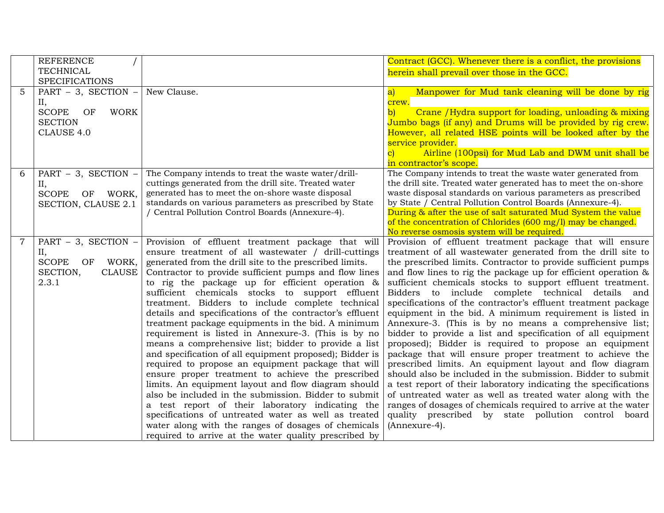|   | <b>REFERENCE</b><br><b>TECHNICAL</b>                                                                                     |                                                                                                                                                                                                                                                                                                                                                                                                                                                                                                                                                                                                                                                                                                                                                                                                                                                                                                                                                                                                                                                                                                                                         | Contract (GCC). Whenever there is a conflict, the provisions<br>herein shall prevail over those in the GCC.                                                                                                                                                                                                                                                                                                                                                                                                                                                                                                                                                                                                                                                                                                                                                                                                                                                                                                                                                                                                                                                    |
|---|--------------------------------------------------------------------------------------------------------------------------|-----------------------------------------------------------------------------------------------------------------------------------------------------------------------------------------------------------------------------------------------------------------------------------------------------------------------------------------------------------------------------------------------------------------------------------------------------------------------------------------------------------------------------------------------------------------------------------------------------------------------------------------------------------------------------------------------------------------------------------------------------------------------------------------------------------------------------------------------------------------------------------------------------------------------------------------------------------------------------------------------------------------------------------------------------------------------------------------------------------------------------------------|----------------------------------------------------------------------------------------------------------------------------------------------------------------------------------------------------------------------------------------------------------------------------------------------------------------------------------------------------------------------------------------------------------------------------------------------------------------------------------------------------------------------------------------------------------------------------------------------------------------------------------------------------------------------------------------------------------------------------------------------------------------------------------------------------------------------------------------------------------------------------------------------------------------------------------------------------------------------------------------------------------------------------------------------------------------------------------------------------------------------------------------------------------------|
| 5 | <b>SPECIFICATIONS</b><br>PART - 3, SECTION -<br>II,<br><b>SCOPE</b><br><b>WORK</b><br>OF<br><b>SECTION</b><br>CLAUSE 4.0 | New Clause.                                                                                                                                                                                                                                                                                                                                                                                                                                                                                                                                                                                                                                                                                                                                                                                                                                                                                                                                                                                                                                                                                                                             | Manpower for Mud tank cleaning will be done by rig<br>$ {\bf a} $<br>crew.<br>Crane / Hydra support for loading, unloading & mixing<br>$\mathbf{b}$<br>Jumbo bags (if any) and Drums will be provided by rig crew.<br>However, all related HSE points will be looked after by the<br>service provider.<br>Airline (100psi) for Mud Lab and DWM unit shall be<br>in contractor's scope.                                                                                                                                                                                                                                                                                                                                                                                                                                                                                                                                                                                                                                                                                                                                                                         |
| 6 | PART $-3$ , SECTION $-$<br>II,<br><b>SCOPE</b><br>OF WORK,<br>SECTION, CLAUSE 2.1                                        | The Company intends to treat the waste water/drill-<br>cuttings generated from the drill site. Treated water<br>generated has to meet the on-shore waste disposal<br>standards on various parameters as prescribed by State<br>/ Central Pollution Control Boards (Annexure-4).                                                                                                                                                                                                                                                                                                                                                                                                                                                                                                                                                                                                                                                                                                                                                                                                                                                         | The Company intends to treat the waste water generated from<br>the drill site. Treated water generated has to meet the on-shore<br>waste disposal standards on various parameters as prescribed<br>by State / Central Pollution Control Boards (Annexure-4).<br>During & after the use of salt saturated Mud System the value<br>of the concentration of Chlorides (600 mg/l) may be changed.<br>No reverse osmosis system will be required.                                                                                                                                                                                                                                                                                                                                                                                                                                                                                                                                                                                                                                                                                                                   |
| 7 | PART - 3, SECTION -<br>II,<br><b>SCOPE</b><br>WORK,<br>OF<br>SECTION,<br><b>CLAUSE</b><br>2.3.1                          | Provision of effluent treatment package that will<br>ensure treatment of all wastewater / drill-cuttings<br>generated from the drill site to the prescribed limits.<br>Contractor to provide sufficient pumps and flow lines<br>to rig the package up for efficient operation &<br>sufficient chemicals stocks to support effluent<br>treatment. Bidders to include complete technical<br>details and specifications of the contractor's effluent<br>treatment package equipments in the bid. A minimum<br>requirement is listed in Annexure-3. (This is by no<br>means a comprehensive list; bidder to provide a list<br>and specification of all equipment proposed); Bidder is<br>required to propose an equipment package that will<br>ensure proper treatment to achieve the prescribed<br>limits. An equipment layout and flow diagram should<br>also be included in the submission. Bidder to submit<br>a test report of their laboratory indicating the<br>specifications of untreated water as well as treated<br>water along with the ranges of dosages of chemicals<br>required to arrive at the water quality prescribed by | Provision of effluent treatment package that will ensure<br>treatment of all wastewater generated from the drill site to<br>the prescribed limits. Contractor to provide sufficient pumps<br>and flow lines to rig the package up for efficient operation &<br>sufficient chemicals stocks to support effluent treatment.<br>Bidders to include complete technical details and<br>specifications of the contractor's effluent treatment package<br>equipment in the bid. A minimum requirement is listed in<br>Annexure-3. (This is by no means a comprehensive list;<br>bidder to provide a list and specification of all equipment<br>proposed); Bidder is required to propose an equipment<br>package that will ensure proper treatment to achieve the<br>prescribed limits. An equipment layout and flow diagram<br>should also be included in the submission. Bidder to submit<br>a test report of their laboratory indicating the specifications<br>of untreated water as well as treated water along with the<br>ranges of dosages of chemicals required to arrive at the water<br>quality prescribed by state pollution control board<br>(Annexure-4). |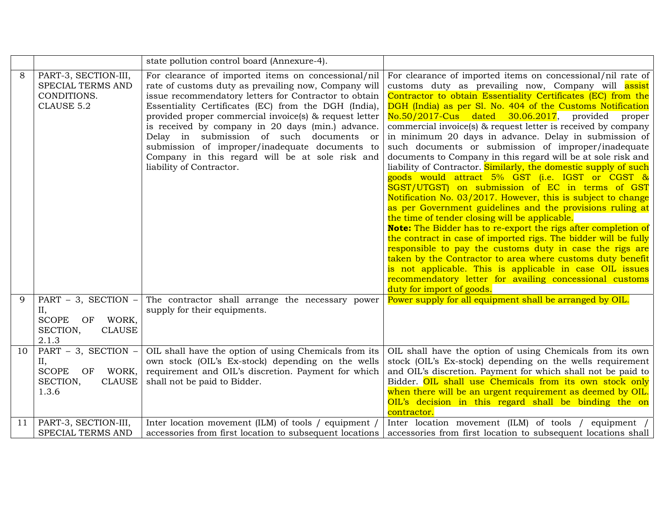|    |                                                                                                     | state pollution control board (Annexure-4).                                                                                                                                                                                                                                                                                                                                                                                                                                                                              |                                                                                                                                                                                                                                                                                                                                                                                                                                                                                                                                                                                                                                                                                                                                                                                                                                                                                                                                                                                                                                                                                                                                                                                                                                                                                                                                           |  |  |
|----|-----------------------------------------------------------------------------------------------------|--------------------------------------------------------------------------------------------------------------------------------------------------------------------------------------------------------------------------------------------------------------------------------------------------------------------------------------------------------------------------------------------------------------------------------------------------------------------------------------------------------------------------|-------------------------------------------------------------------------------------------------------------------------------------------------------------------------------------------------------------------------------------------------------------------------------------------------------------------------------------------------------------------------------------------------------------------------------------------------------------------------------------------------------------------------------------------------------------------------------------------------------------------------------------------------------------------------------------------------------------------------------------------------------------------------------------------------------------------------------------------------------------------------------------------------------------------------------------------------------------------------------------------------------------------------------------------------------------------------------------------------------------------------------------------------------------------------------------------------------------------------------------------------------------------------------------------------------------------------------------------|--|--|
| 8  | PART-3, SECTION-III,<br>SPECIAL TERMS AND<br>CONDITIONS.<br>CLAUSE 5.2                              | For clearance of imported items on concessional/nil<br>rate of customs duty as prevailing now, Company will<br>issue recommendatory letters for Contractor to obtain<br>Essentiality Certificates (EC) from the DGH (India),<br>provided proper commercial invoice(s) & request letter<br>is received by company in 20 days (min.) advance.<br>Delay in submission of such documents or<br>submission of improper/inadequate documents to<br>Company in this regard will be at sole risk and<br>liability of Contractor. | For clearance of imported items on concessional/nil rate of<br>customs duty as prevailing now, Company will assist<br>Contractor to obtain Essentiality Certificates (EC) from the<br>DGH (India) as per Sl. No. 404 of the Customs Notification<br>$No.50/2017$ -Cus dated $30.06.2017$ , provided<br>proper<br>commercial invoice(s) & request letter is received by company<br>in minimum 20 days in advance. Delay in submission of<br>such documents or submission of improper/inadequate<br>documents to Company in this regard will be at sole risk and<br>liability of Contractor. Similarly, the domestic supply of such<br>goods would attract 5% GST (i.e. IGST or CGST &<br>SGST/UTGST) on submission of EC in terms of GST<br>Notification No. 03/2017. However, this is subject to change<br>as per Government guidelines and the provisions ruling at<br>the time of tender closing will be applicable.<br>Note: The Bidder has to re-export the rigs after completion of<br>the contract in case of imported rigs. The bidder will be fully<br>responsible to pay the customs duty in case the rigs are<br>taken by the Contractor to area where customs duty benefit<br>is not applicable. This is applicable in case OIL issues<br>recommendatory letter for availing concessional customs<br>duty for import of goods. |  |  |
| 9  | PART $-$ 3, SECTION $-$<br>II,<br><b>SCOPE</b><br>WORK,<br>OF<br>SECTION,<br><b>CLAUSE</b><br>2.1.3 | The contractor shall arrange the necessary power<br>supply for their equipments.                                                                                                                                                                                                                                                                                                                                                                                                                                         | Power supply for all equipment shall be arranged by OIL.                                                                                                                                                                                                                                                                                                                                                                                                                                                                                                                                                                                                                                                                                                                                                                                                                                                                                                                                                                                                                                                                                                                                                                                                                                                                                  |  |  |
| 10 | PART $-$ 3, SECTION $-$<br>II,<br><b>SCOPE</b><br>WORK,<br>OF<br>SECTION,<br><b>CLAUSE</b><br>1.3.6 | OIL shall have the option of using Chemicals from its<br>own stock (OIL's Ex-stock) depending on the wells<br>requirement and OIL's discretion. Payment for which<br>shall not be paid to Bidder.                                                                                                                                                                                                                                                                                                                        | OIL shall have the option of using Chemicals from its own<br>stock (OIL's Ex-stock) depending on the wells requirement<br>and OIL's discretion. Payment for which shall not be paid to<br>Bidder. OIL shall use Chemicals from its own stock only<br>when there will be an urgent requirement as deemed by OIL.<br>OIL's decision in this regard shall be binding the on<br>contractor.                                                                                                                                                                                                                                                                                                                                                                                                                                                                                                                                                                                                                                                                                                                                                                                                                                                                                                                                                   |  |  |
| 11 | PART-3, SECTION-III,<br><b>SPECIAL TERMS AND</b>                                                    | Inter location movement (ILM) of tools / equipment /<br>accessories from first location to subsequent locations                                                                                                                                                                                                                                                                                                                                                                                                          | Inter location movement (ILM) of tools / equipment /<br>accessories from first location to subsequent locations shall                                                                                                                                                                                                                                                                                                                                                                                                                                                                                                                                                                                                                                                                                                                                                                                                                                                                                                                                                                                                                                                                                                                                                                                                                     |  |  |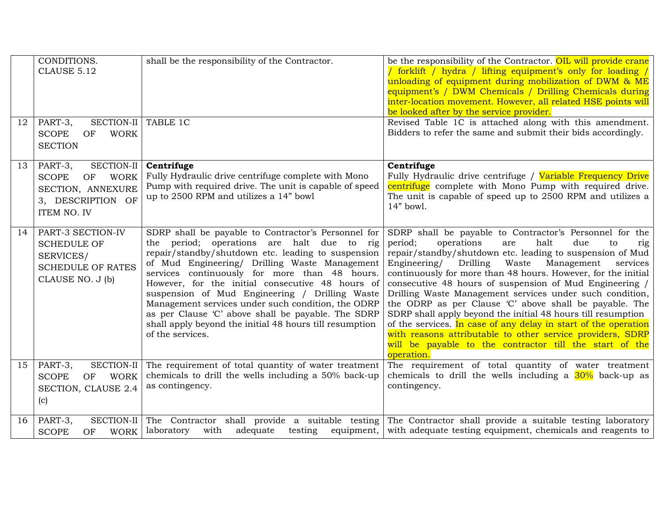| 12 | CONDITIONS.<br>CLAUSE 5.12<br>PART-3,<br>SECTION-II                                                          | shall be the responsibility of the Contractor.<br>TABLE 1C                                                                                                                                                                                                                                                                                                                                                                                                                                                                                                 | be the responsibility of the Contractor. OIL will provide crane<br>/ forklift / hydra / lifting equipment's only for loading /<br>unloading of equipment during mobilization of DWM & ME<br>equipment's / DWM Chemicals / Drilling Chemicals during<br>inter-location movement. However, all related HSE points will<br>be looked after by the service provider.<br>Revised Table 1C is attached along with this amendment.                                                                                                                                                                                                                                                                                                                                              |
|----|--------------------------------------------------------------------------------------------------------------|------------------------------------------------------------------------------------------------------------------------------------------------------------------------------------------------------------------------------------------------------------------------------------------------------------------------------------------------------------------------------------------------------------------------------------------------------------------------------------------------------------------------------------------------------------|--------------------------------------------------------------------------------------------------------------------------------------------------------------------------------------------------------------------------------------------------------------------------------------------------------------------------------------------------------------------------------------------------------------------------------------------------------------------------------------------------------------------------------------------------------------------------------------------------------------------------------------------------------------------------------------------------------------------------------------------------------------------------|
|    | <b>SCOPE</b><br><b>WORK</b><br>OF<br><b>SECTION</b>                                                          |                                                                                                                                                                                                                                                                                                                                                                                                                                                                                                                                                            | Bidders to refer the same and submit their bids accordingly.                                                                                                                                                                                                                                                                                                                                                                                                                                                                                                                                                                                                                                                                                                             |
| 13 | SECTION-II<br>PART-3,<br><b>SCOPE</b><br>WORK<br>OF<br>SECTION, ANNEXURE<br>3, DESCRIPTION OF<br>ITEM NO. IV | Centrifuge<br>Fully Hydraulic drive centrifuge complete with Mono<br>Pump with required drive. The unit is capable of speed<br>up to 2500 RPM and utilizes a 14" bowl                                                                                                                                                                                                                                                                                                                                                                                      | Centrifuge<br>Fully Hydraulic drive centrifuge / Variable Frequency Drive<br>centrifuge complete with Mono Pump with required drive.<br>The unit is capable of speed up to 2500 RPM and utilizes a<br>14" bowl.                                                                                                                                                                                                                                                                                                                                                                                                                                                                                                                                                          |
| 14 | PART-3 SECTION-IV<br><b>SCHEDULE OF</b><br>SERVICES/<br><b>SCHEDULE OF RATES</b><br>CLAUSE NO. J (b)         | SDRP shall be payable to Contractor's Personnel for<br>the period; operations are halt due to rig<br>repair/standby/shutdown etc. leading to suspension<br>of Mud Engineering/ Drilling Waste Management<br>services continuously for more than 48 hours.<br>However, for the initial consecutive 48 hours of<br>suspension of Mud Engineering / Drilling Waste<br>Management services under such condition, the ODRP<br>as per Clause 'C' above shall be payable. The SDRP<br>shall apply beyond the initial 48 hours till resumption<br>of the services. | SDRP shall be payable to Contractor's Personnel for the<br>period;<br>operations<br>halt<br>due<br>are<br>to<br>rig<br>repair/standby/shutdown etc. leading to suspension of Mud<br>Waste<br>Management<br>Engineering/ Drilling<br>services<br>continuously for more than 48 hours. However, for the initial<br>consecutive 48 hours of suspension of Mud Engineering /<br>Drilling Waste Management services under such condition,<br>the ODRP as per Clause 'C' above shall be payable. The<br>SDRP shall apply beyond the initial 48 hours till resumption<br>of the services. In case of any delay in start of the operation<br>with reasons attributable to other service providers, SDRP<br>will be payable to the contractor till the start of the<br>operation. |
| 15 | PART-3,<br>SECTION-II<br><b>SCOPE</b><br><b>WORK</b><br>OF<br>SECTION, CLAUSE 2.4<br>(c)                     | The requirement of total quantity of water treatment<br>chemicals to drill the wells including a 50% back-up<br>as contingency.                                                                                                                                                                                                                                                                                                                                                                                                                            | The requirement of total quantity of water treatment<br>chemicals to drill the wells including a $30\%$ back-up as<br>contingency.                                                                                                                                                                                                                                                                                                                                                                                                                                                                                                                                                                                                                                       |
| 16 | PART-3,<br>SECTION-II<br><b>WORK</b><br><b>SCOPE</b><br><b>OF</b>                                            | The Contractor shall provide a suitable testing<br>adequate<br>laboratory<br>with<br>testing<br>equipment,                                                                                                                                                                                                                                                                                                                                                                                                                                                 | The Contractor shall provide a suitable testing laboratory<br>with adequate testing equipment, chemicals and reagents to                                                                                                                                                                                                                                                                                                                                                                                                                                                                                                                                                                                                                                                 |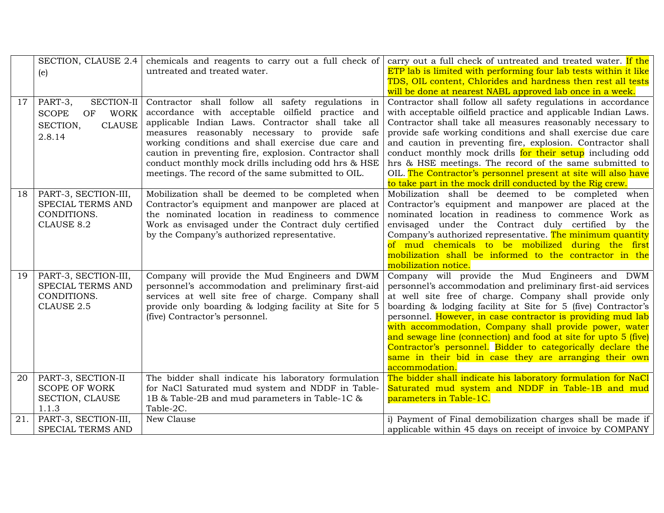|     |                                   | SECTION, CLAUSE 2.4 chemicals and reagents to carry out a full check of | carry out a full check of untreated and treated water. If the    |  |
|-----|-----------------------------------|-------------------------------------------------------------------------|------------------------------------------------------------------|--|
|     | (e)                               | untreated and treated water.                                            | ETP lab is limited with performing four lab tests within it like |  |
|     |                                   |                                                                         | TDS, OIL content, Chlorides and hardness then rest all tests     |  |
|     |                                   |                                                                         | will be done at nearest NABL approved lab once in a week.        |  |
| 17  | PART-3,<br>SECTION-II             | Contractor shall follow all safety regulations in                       | Contractor shall follow all safety regulations in accordance     |  |
|     | <b>WORK</b><br><b>SCOPE</b><br>OF | accordance with acceptable oilfield practice and                        | with acceptable oilfield practice and applicable Indian Laws.    |  |
|     | <b>CLAUSE</b><br>SECTION,         | applicable Indian Laws. Contractor shall take all                       | Contractor shall take all measures reasonably necessary to       |  |
|     | 2.8.14                            | measures reasonably necessary to provide safe                           | provide safe working conditions and shall exercise due care      |  |
|     |                                   | working conditions and shall exercise due care and                      | and caution in preventing fire, explosion. Contractor shall      |  |
|     |                                   | caution in preventing fire, explosion. Contractor shall                 | conduct monthly mock drills for their setup including odd        |  |
|     |                                   | conduct monthly mock drills including odd hrs & HSE                     | hrs & HSE meetings. The record of the same submitted to          |  |
|     |                                   | meetings. The record of the same submitted to OIL.                      | OIL. The Contractor's personnel present at site will also have   |  |
|     |                                   |                                                                         | to take part in the mock drill conducted by the Rig crew.        |  |
| 18  | PART-3, SECTION-III,              | Mobilization shall be deemed to be completed when                       | Mobilization shall be deemed to be completed when                |  |
|     | SPECIAL TERMS AND                 | Contractor's equipment and manpower are placed at                       | Contractor's equipment and manpower are placed at the            |  |
|     | CONDITIONS.                       | the nominated location in readiness to commence                         | nominated location in readiness to commence Work as              |  |
|     | <b>CLAUSE 8.2</b>                 | Work as envisaged under the Contract duly certified                     | envisaged under the Contract duly certified by the               |  |
|     |                                   | by the Company's authorized representative.                             | Company's authorized representative. The minimum quantity        |  |
|     |                                   |                                                                         | of mud chemicals to be mobilized during the first                |  |
|     |                                   |                                                                         | mobilization shall be informed to the contractor in the          |  |
|     |                                   |                                                                         | mobilization notice.                                             |  |
| 19  | PART-3, SECTION-III,              | Company will provide the Mud Engineers and DWM                          | Company will provide the Mud Engineers and DWM                   |  |
|     | SPECIAL TERMS AND                 | personnel's accommodation and preliminary first-aid                     | personnel's accommodation and preliminary first-aid services     |  |
|     | CONDITIONS.                       | services at well site free of charge. Company shall                     | at well site free of charge. Company shall provide only          |  |
|     | CLAUSE 2.5                        | provide only boarding & lodging facility at Site for 5                  | boarding & lodging facility at Site for 5 (five) Contractor's    |  |
|     |                                   | (five) Contractor's personnel.                                          | personnel. However, in case contractor is providing mud lab      |  |
|     |                                   |                                                                         | with accommodation, Company shall provide power, water           |  |
|     |                                   |                                                                         | and sewage line (connection) and food at site for upto 5 (five)  |  |
|     |                                   |                                                                         | Contractor's personnel. Bidder to categorically declare the      |  |
|     |                                   |                                                                         | same in their bid in case they are arranging their own           |  |
|     |                                   |                                                                         | accommodation.                                                   |  |
| 20  | PART-3, SECTION-II                | The bidder shall indicate his laboratory formulation                    | The bidder shall indicate his laboratory formulation for NaCl    |  |
|     | <b>SCOPE OF WORK</b>              | for NaCl Saturated mud system and NDDF in Table-                        | Saturated mud system and NDDF in Table-1B and mud                |  |
|     | SECTION, CLAUSE                   | 1B & Table-2B and mud parameters in Table-1C &                          | parameters in Table-1C.                                          |  |
|     | 1.1.3                             | Table-2C.                                                               |                                                                  |  |
| 21. | PART-3, SECTION-III,              | New Clause                                                              | i) Payment of Final demobilization charges shall be made if      |  |
|     | SPECIAL TERMS AND                 |                                                                         | applicable within 45 days on receipt of invoice by COMPANY       |  |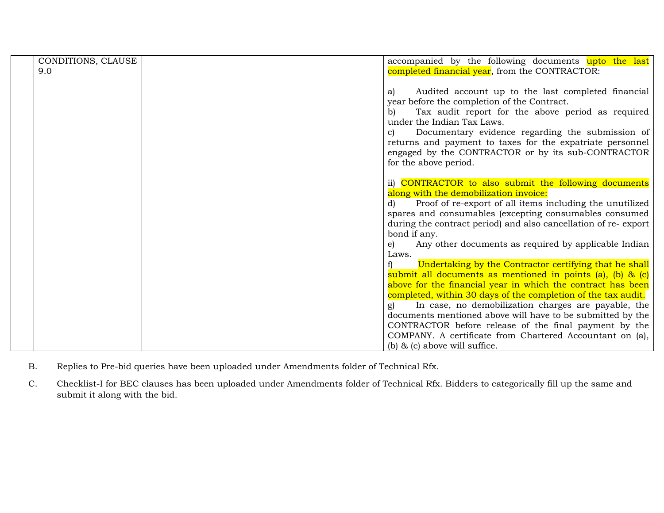| CONDITIONS, CLAUSE | accompanied by the following documents upto the last                                         |
|--------------------|----------------------------------------------------------------------------------------------|
| 9.0                | completed financial year, from the CONTRACTOR:                                               |
|                    |                                                                                              |
|                    | Audited account up to the last completed financial<br>a)                                     |
|                    | year before the completion of the Contract.                                                  |
|                    | Tax audit report for the above period as required<br>b)                                      |
|                    | under the Indian Tax Laws.                                                                   |
|                    | Documentary evidence regarding the submission of<br>$\mathbf{c}$                             |
|                    | returns and payment to taxes for the expatriate personnel                                    |
|                    | engaged by the CONTRACTOR or by its sub-CONTRACTOR                                           |
|                    | for the above period.                                                                        |
|                    |                                                                                              |
|                    | ii) CONTRACTOR to also submit the following documents                                        |
|                    | along with the demobilization invoice:                                                       |
|                    | Proof of re-export of all items including the unutilized<br>d)                               |
|                    | spares and consumables (excepting consumables consumed                                       |
|                    | during the contract period) and also cancellation of re-export                               |
|                    | bond if any.                                                                                 |
|                    | Any other documents as required by applicable Indian<br>e)                                   |
|                    | Laws.                                                                                        |
|                    | Undertaking by the Contractor certifying that he shall                                       |
|                    | submit all documents as mentioned in points (a), (b) & $(c)$                                 |
|                    | above for the financial year in which the contract has been                                  |
|                    | completed, within 30 days of the completion of the tax audit.                                |
|                    | In case, no demobilization charges are payable, the<br>g)                                    |
|                    | documents mentioned above will have to be submitted by the                                   |
|                    | CONTRACTOR before release of the final payment by the                                        |
|                    |                                                                                              |
|                    |                                                                                              |
|                    | COMPANY. A certificate from Chartered Accountant on (a),<br>(b) $\&$ (c) above will suffice. |

- B. Replies to Pre-bid queries have been uploaded under Amendments folder of Technical Rfx.
- C. Checklist-I for BEC clauses has been uploaded under Amendments folder of Technical Rfx. Bidders to categorically fill up the same and submit it along with the bid.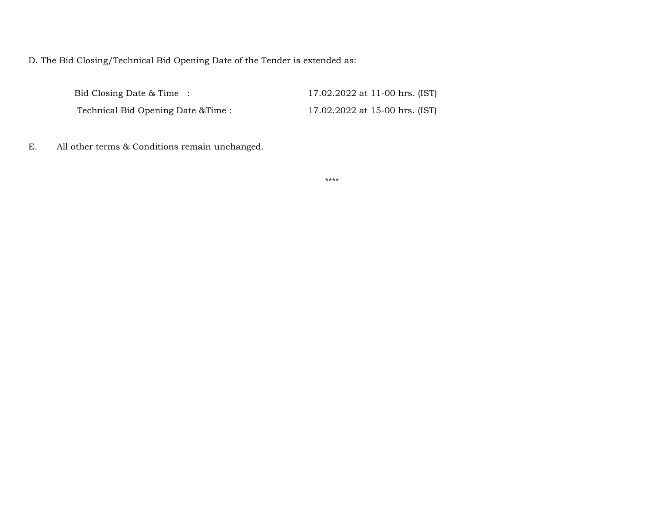D. The Bid Closing/Technical Bid Opening Date of the Tender is extended as:

| Bid Closing Date & Time:           | 17.02.2022 at 11-00 hrs. (IST) |
|------------------------------------|--------------------------------|
| Technical Bid Opening Date & Time: | 17.02.2022 at 15-00 hrs. (IST) |

E. All other terms & Conditions remain unchanged.

\*\*\*\*